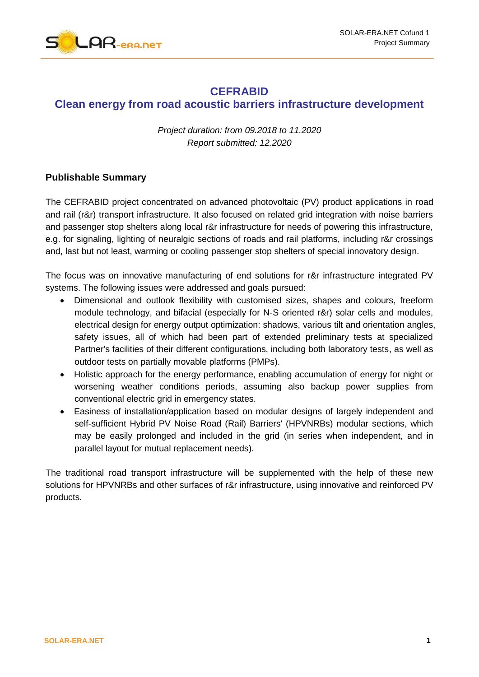

## **CEFRABID Clean energy from road acoustic barriers infrastructure development**

*Project duration: from 09.2018 to 11.2020 Report submitted: 12.2020*

## **Publishable Summary**

The CEFRABID project concentrated on advanced photovoltaic (PV) product applications in road and rail (r&r) transport infrastructure. It also focused on related grid integration with noise barriers and passenger stop shelters along local r&r infrastructure for needs of powering this infrastructure, e.g. for signaling, lighting of neuralgic sections of roads and rail platforms, including r&r crossings and, last but not least, warming or cooling passenger stop shelters of special innovatory design.

The focus was on innovative manufacturing of end solutions for r&r infrastructure integrated PV systems. The following issues were addressed and goals pursued:

- Dimensional and outlook flexibility with customised sizes, shapes and colours, freeform module technology, and bifacial (especially for N-S oriented r&r) solar cells and modules, electrical design for energy output optimization: shadows, various tilt and orientation angles, safety issues, all of which had been part of extended preliminary tests at specialized Partner's facilities of their different configurations, including both laboratory tests, as well as outdoor tests on partially movable platforms (PMPs).
- Holistic approach for the energy performance, enabling accumulation of energy for night or worsening weather conditions periods, assuming also backup power supplies from conventional electric grid in emergency states.
- Easiness of installation/application based on modular designs of largely independent and self-sufficient Hybrid PV Noise Road (Rail) Barriers' (HPVNRBs) modular sections, which may be easily prolonged and included in the grid (in series when independent, and in parallel layout for mutual replacement needs).

The traditional road transport infrastructure will be supplemented with the help of these new solutions for HPVNRBs and other surfaces of r&r infrastructure, using innovative and reinforced PV products.